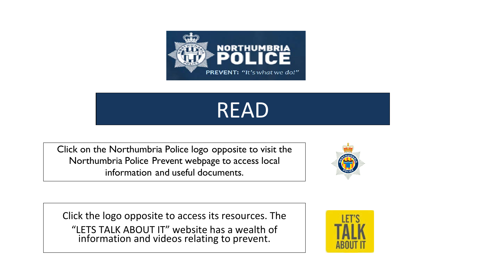

# READ

Click on the Northumbria Police logo opposite to visit the Northumbria Police Prevent webpage to access local information and useful documents.



Click the logo opposite to access its resources. The "LETS TALK ABOUT IT" website has a wealth of information and videos relating to prevent.

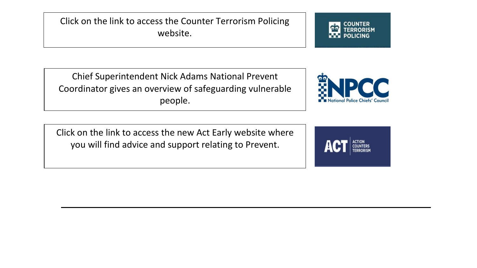Click on the link to access the Counter Terrorism Policing website.

Chief Superintendent Nick Adams National Prevent Coordinator gives an overview of safeguarding vulnerable people.



 Click on the link to access the new Act Early website where you will find advice and support relating to Prevent.

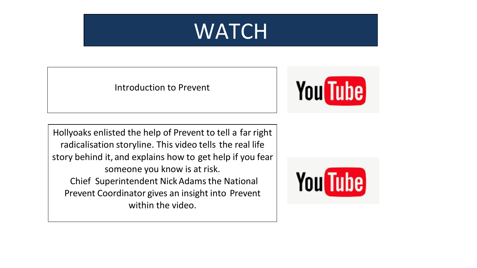

Introduction to Prevent



Hollyoaks enlisted the help of Prevent to tell a far right radicalisation storyline. This video tells the real life story behind it, and explains how to get help if you fear someone you know is at risk. Chief Superintendent NickAdamsthe National Prevent Coordinator gives an insight into Prevent within the video.

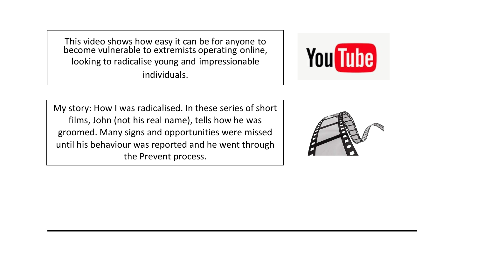This video shows how easy it can be for anyone to become vulnerable to extremists operating online, looking to radicalise young and impressionable individuals.



My story: How I was radicalised. In these series of short films, John (not his real name), tells how he was groomed. Many signs and opportunities were missed until his behaviour was reported and he went through the Prevent process.

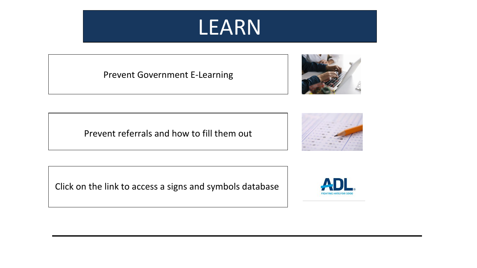## LEARN

Prevent Government E-Learning



Prevent referrals and how to fill them out



Click on the link to access a signs and symbols database

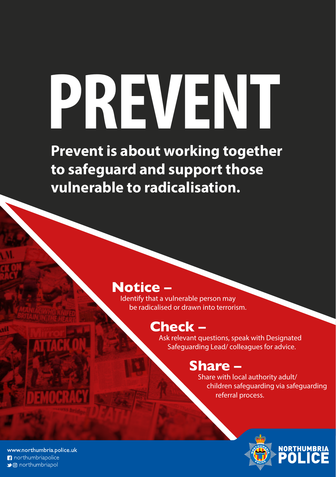# **PREVENT**

**Prevent is about working together to safeguard and support those vulnerable to radicalisation.**

#### **Notice –**

Identify that a vulnerable person may be radicalised or drawn into terrorism.

#### **Check –**

Ask relevant questions, speak with Designated Safeguarding Lead/ colleagues for advice.

#### **Share –**

Share with local authority adult/ children safeguarding via safeguarding referral process.



www.northumbria.police.uk northumbriapolice → o northumbriapol